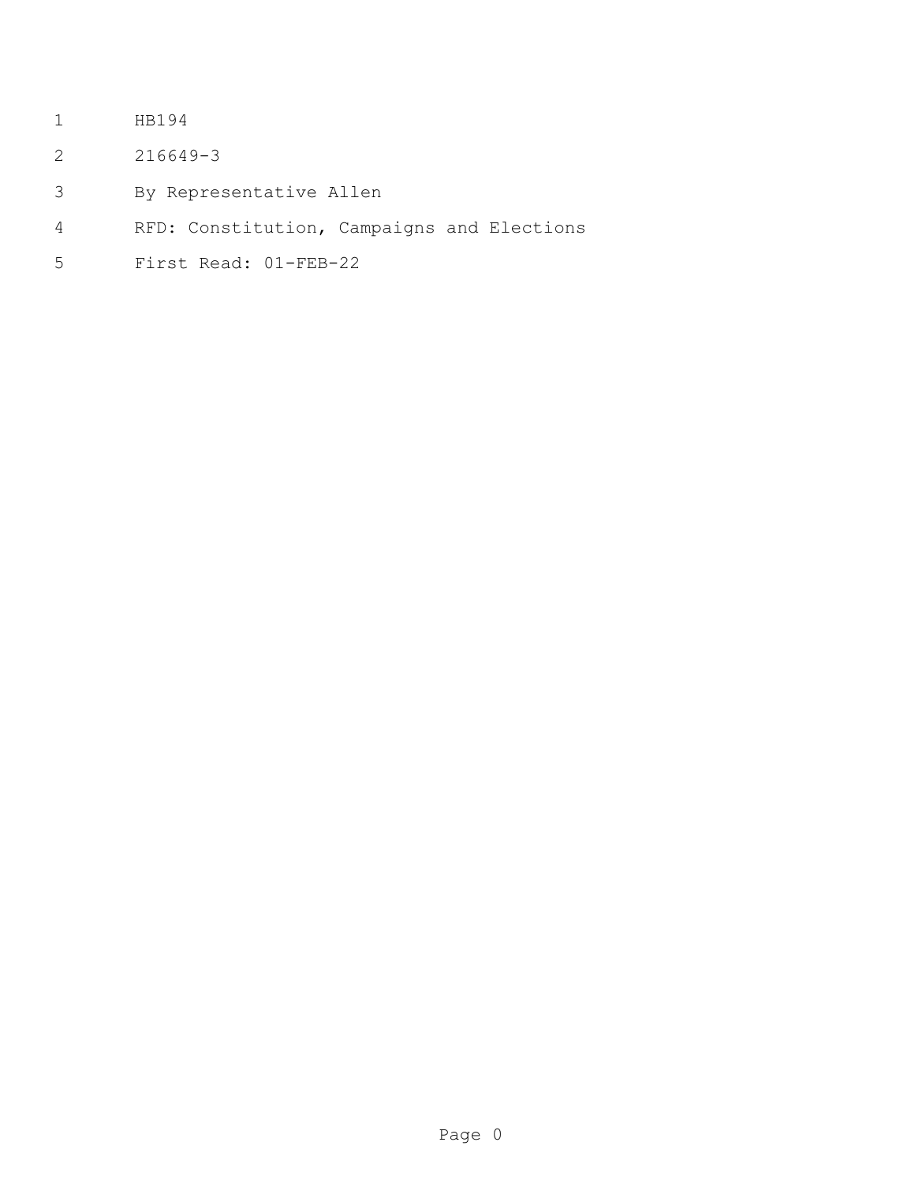- HB194
- 216649-3
- By Representative Allen
- RFD: Constitution, Campaigns and Elections
- First Read: 01-FEB-22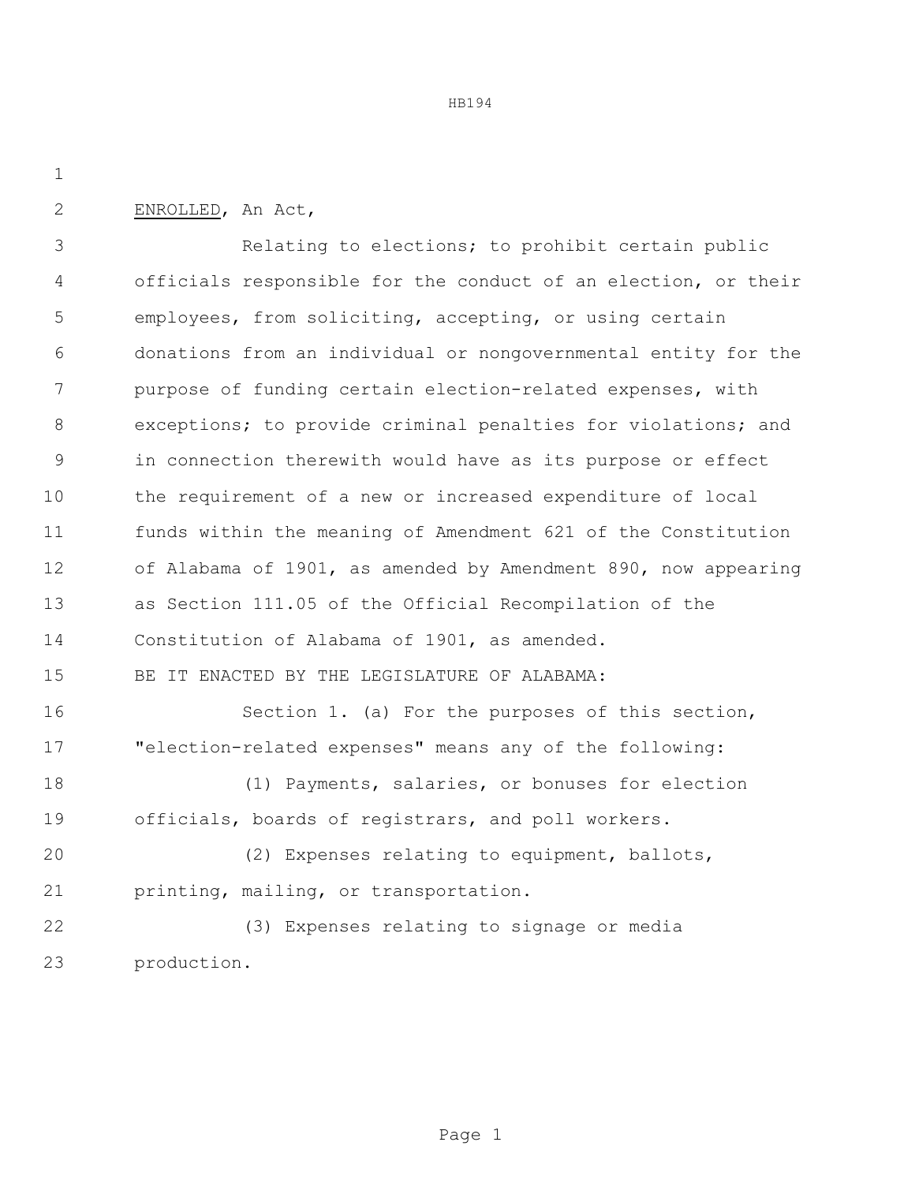HB194

ENROLLED, An Act,

 Relating to elections; to prohibit certain public officials responsible for the conduct of an election, or their employees, from soliciting, accepting, or using certain donations from an individual or nongovernmental entity for the purpose of funding certain election-related expenses, with exceptions; to provide criminal penalties for violations; and in connection therewith would have as its purpose or effect the requirement of a new or increased expenditure of local funds within the meaning of Amendment 621 of the Constitution of Alabama of 1901, as amended by Amendment 890, now appearing as Section 111.05 of the Official Recompilation of the Constitution of Alabama of 1901, as amended. BE IT ENACTED BY THE LEGISLATURE OF ALABAMA: Section 1. (a) For the purposes of this section, "election-related expenses" means any of the following: (1) Payments, salaries, or bonuses for election officials, boards of registrars, and poll workers. (2) Expenses relating to equipment, ballots, printing, mailing, or transportation. (3) Expenses relating to signage or media

production.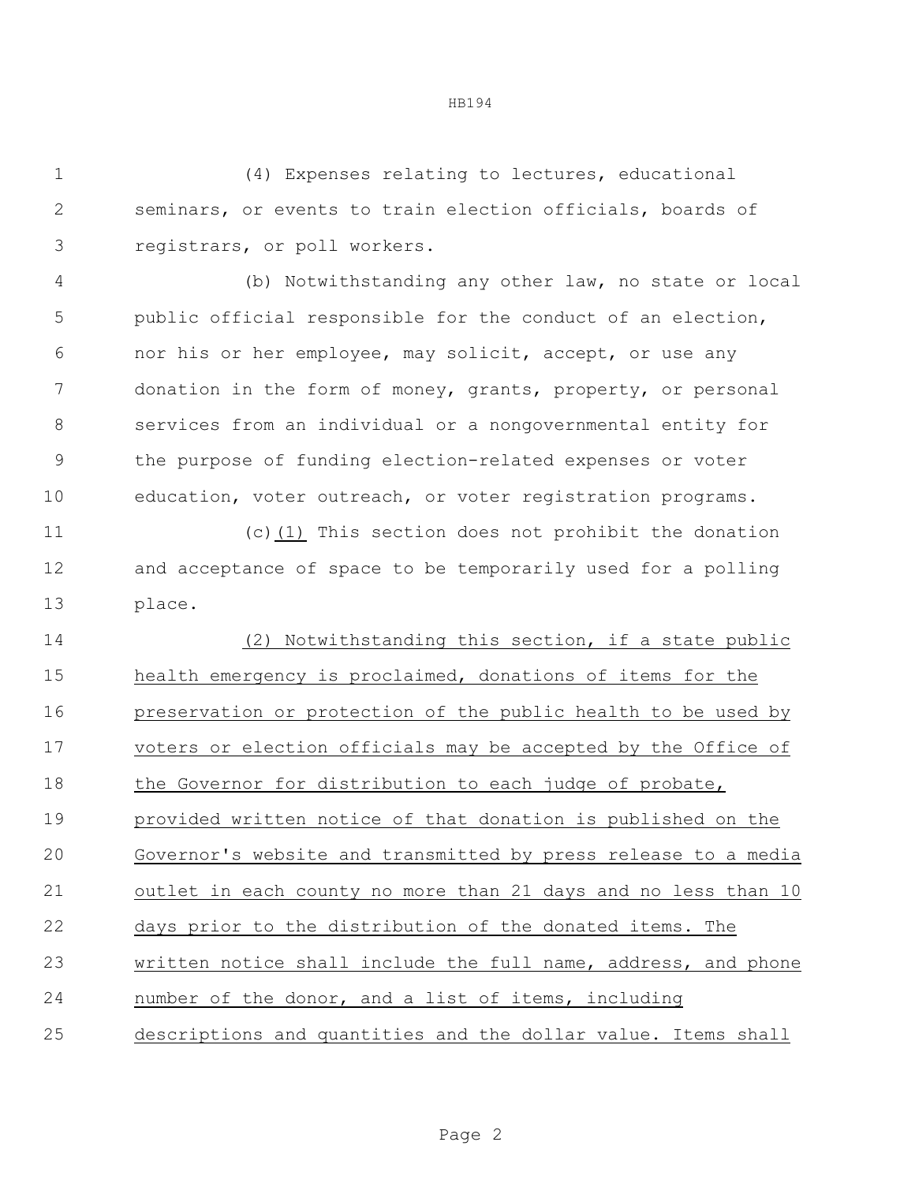HB194

 (4) Expenses relating to lectures, educational seminars, or events to train election officials, boards of registrars, or poll workers.

 (b) Notwithstanding any other law, no state or local public official responsible for the conduct of an election, nor his or her employee, may solicit, accept, or use any donation in the form of money, grants, property, or personal services from an individual or a nongovernmental entity for the purpose of funding election-related expenses or voter education, voter outreach, or voter registration programs.

 (c)(1) This section does not prohibit the donation and acceptance of space to be temporarily used for a polling place.

 (2) Notwithstanding this section, if a state public health emergency is proclaimed, donations of items for the preservation or protection of the public health to be used by voters or election officials may be accepted by the Office of 18 the Governor for distribution to each judge of probate, provided written notice of that donation is published on the Governor's website and transmitted by press release to a media outlet in each county no more than 21 days and no less than 10 days prior to the distribution of the donated items. The written notice shall include the full name, address, and phone number of the donor, and a list of items, including descriptions and quantities and the dollar value. Items shall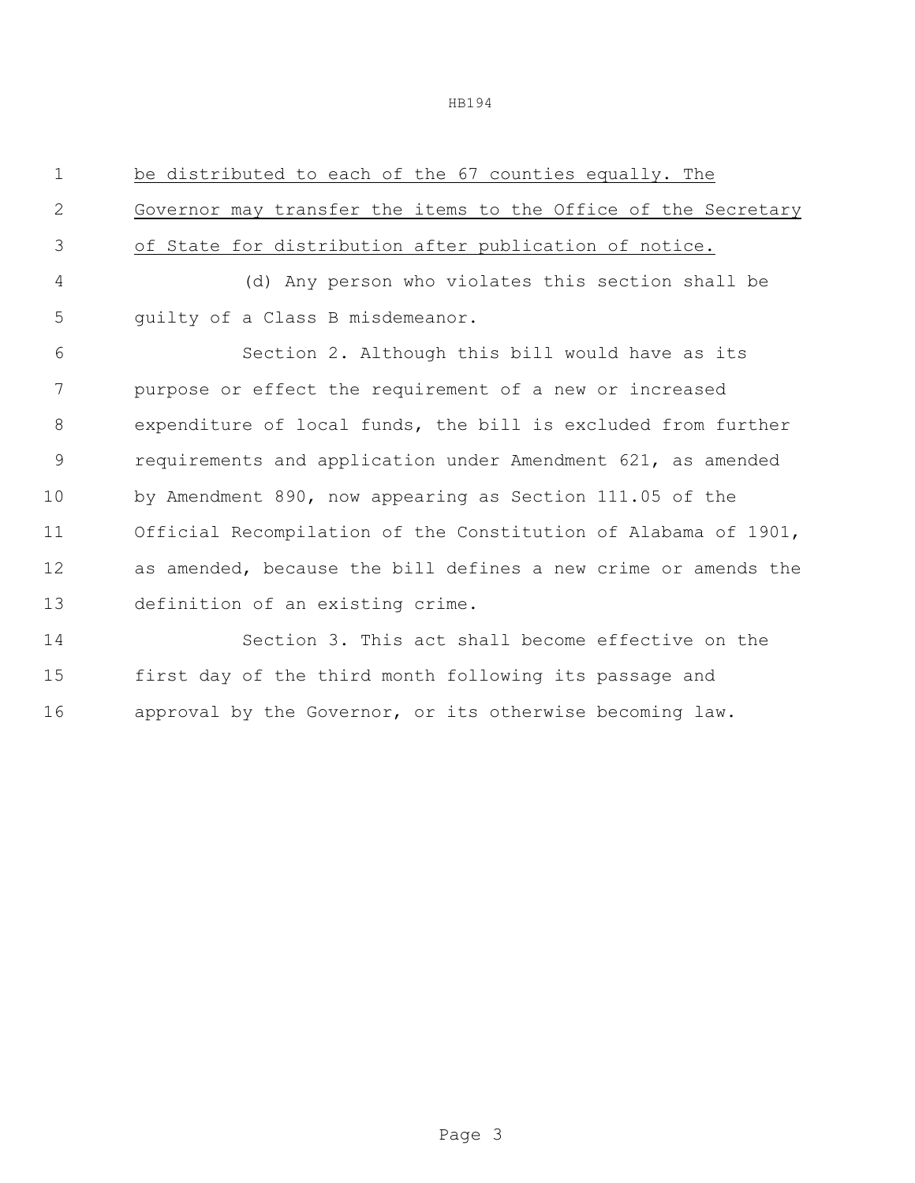HB194

| $\mathbf 1$   | be distributed to each of the 67 counties equally. The         |
|---------------|----------------------------------------------------------------|
| $\mathbf{2}$  | Governor may transfer the items to the Office of the Secretary |
| 3             | of State for distribution after publication of notice.         |
| 4             | (d) Any person who violates this section shall be              |
| 5             | quilty of a Class B misdemeanor.                               |
| 6             | Section 2. Although this bill would have as its                |
| 7             | purpose or effect the requirement of a new or increased        |
| 8             | expenditure of local funds, the bill is excluded from further  |
| $\mathcal{G}$ | requirements and application under Amendment 621, as amended   |
| 10            | by Amendment 890, now appearing as Section 111.05 of the       |
| 11            | Official Recompilation of the Constitution of Alabama of 1901, |
| 12            | as amended, because the bill defines a new crime or amends the |
| 13            | definition of an existing crime.                               |
| 14            | Section 3. This act shall become effective on the              |
| 15            | first day of the third month following its passage and         |
| 16            | approval by the Governor, or its otherwise becoming law.       |